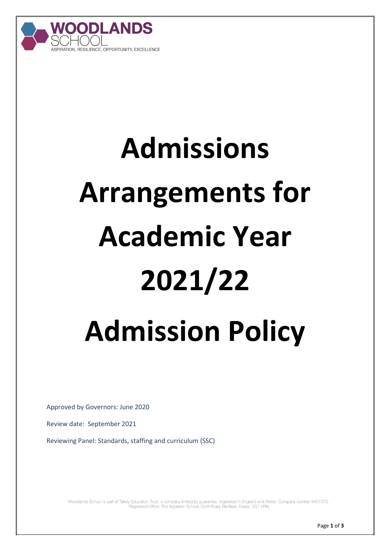

# **Admissions Arrangements for Academic Year 2021/22 Admission Policy**

Approved by Governors: June 2020

Review date: September 2021

Reviewing Panel: Standards, staffing and curriculum (SSC)

Woodlands School is part of Takely Education Trust, a company limited by guarantee, registered in England and Wales. Company number 9451372. Registered Office: The Appleton School, Croft Road, Benfleet, Essex, SS7 5RN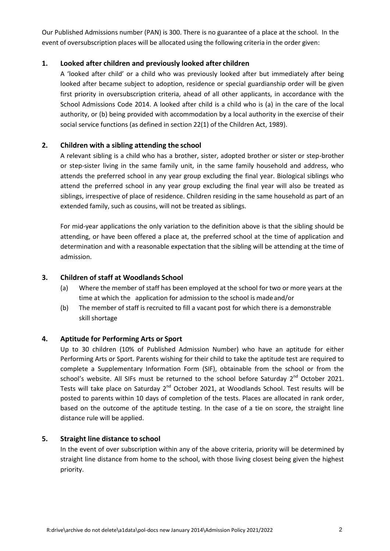Our Published Admissions number (PAN) is 300. There is no guarantee of a place at the school. In the event of oversubscription places will be allocated using the following criteria in the order given:

#### **1. Looked after children and previously looked after children**

A 'looked after child' or a child who was previously looked after but immediately after being looked after became subject to adoption, residence or special guardianship order will be given first priority in oversubscription criteria, ahead of all other applicants, in accordance with the School Admissions Code 2014. A looked after child is a child who is (a) in the care of the local authority, or (b) being provided with accommodation by a local authority in the exercise of their social service functions (as defined in section 22(1) of the Children Act, 1989).

### **2. Children with a sibling attending the school**

A relevant sibling is a child who has a brother, sister, adopted brother or sister or step-brother or step-sister living in the same family unit, in the same family household and address, who attends the preferred school in any year group excluding the final year. Biological siblings who attend the preferred school in any year group excluding the final year will also be treated as siblings, irrespective of place of residence. Children residing in the same household as part of an extended family, such as cousins, will not be treated as siblings.

For mid-year applications the only variation to the definition above is that the sibling should be attending, or have been offered a place at, the preferred school at the time of application and determination and with a reasonable expectation that the sibling will be attending at the time of admission.

#### **3. Children of staff at Woodlands School**

- (a) Where the member of staff has been employed at the school for two or more years at the time at which the application for admission to the school is madeand/or
- (b) The member of staff is recruited to fill a vacant post for which there is a demonstrable skill shortage

### **4. Aptitude for Performing Arts or Sport**

Up to 30 children (10% of Published Admission Number) who have an aptitude for either Performing Arts or Sport. Parents wishing for their child to take the aptitude test are required to complete a Supplementary Information Form (SIF), obtainable from the school or from the school's website. All SIFs must be returned to the school before Saturday  $2^{nd}$  October 2021. Tests will take place on Saturday 2<sup>nd</sup> October 2021, at Woodlands School. Test results will be posted to parents within 10 days of completion of the tests. Places are allocated in rank order, based on the outcome of the aptitude testing. In the case of a tie on score, the straight line distance rule will be applied.

#### **5. Straight line distance to school**

In the event of over subscription within any of the above criteria, priority will be determined by straight line distance from home to the school, with those living closest being given the highest priority.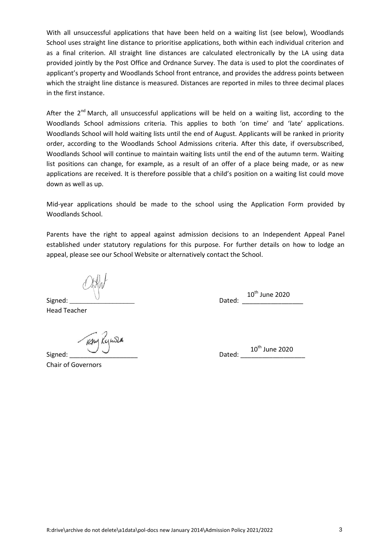With all unsuccessful applications that have been held on a waiting list (see below), Woodlands School uses straight line distance to prioritise applications, both within each individual criterion and as a final criterion. All straight line distances are calculated electronically by the LA using data provided jointly by the Post Office and Ordnance Survey. The data is used to plot the coordinates of applicant's property and Woodlands School front entrance, and provides the address points between which the straight line distance is measured. Distances are reported in miles to three decimal places in the first instance.

After the 2<sup>nd</sup> March, all unsuccessful applications will be held on a waiting list, according to the Woodlands School admissions criteria. This applies to both 'on time' and 'late' applications. Woodlands School will hold waiting lists until the end of August. Applicants will be ranked in priority order, according to the Woodlands School Admissions criteria. After this date, if oversubscribed, Woodlands School will continue to maintain waiting lists until the end of the autumn term. Waiting list positions can change, for example, as a result of an offer of a place being made, or as new applications are received. It is therefore possible that a child's position on a waiting list could move down as well as up.

Mid-year applications should be made to the school using the Application Form provided by Woodlands School.

Parents have the right to appeal against admission decisions to an Independent Appeal Panel established under statutory regulations for this purpose. For further details on how to lodge an appeal, please see our School Website or alternatively contact the School.

Signed: \_\_\_\_\_\_\_\_\_\_\_\_\_\_\_\_\_\_ Dated: \_\_\_\_\_\_\_\_\_\_\_\_\_\_\_\_\_  $10^{\text{th}}$  June 2020

Head Teacher

TEAM Kymsen

Chair of Governors

Signed: \_\_\_\_\_\_\_\_\_\_\_\_\_\_\_\_\_\_\_ Dated: \_\_\_\_\_\_\_\_\_\_\_\_\_\_\_\_\_\_ 10<sup>th</sup> June 2020